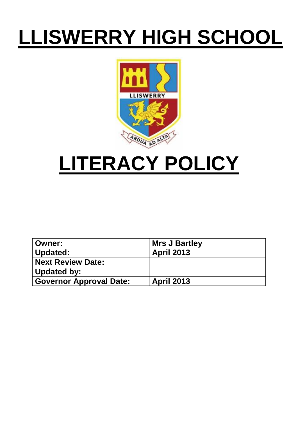# **LLISWERRY HIGH SCHOOL**



## **LITERACY POLICY**

| <b>Owner:</b>                  | Mrs J Bartley     |
|--------------------------------|-------------------|
| Updated:                       | <b>April 2013</b> |
| <b>Next Review Date:</b>       |                   |
| Updated by:                    |                   |
| <b>Governor Approval Date:</b> | <b>April 2013</b> |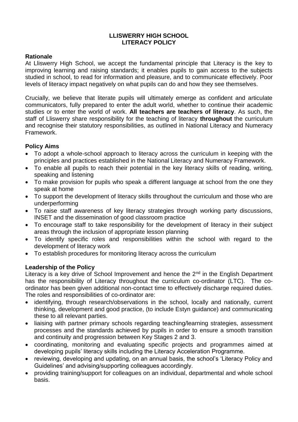## **LLISWERRY HIGH SCHOOL LITERACY POLICY**

## **Rationale**

At Lliswerry High School, we accept the fundamental principle that Literacy is the key to improving learning and raising standards; it enables pupils to gain access to the subjects studied in school, to read for information and pleasure, and to communicate effectively. Poor levels of literacy impact negatively on what pupils can do and how they see themselves.

Crucially, we believe that literate pupils will ultimately emerge as confident and articulate communicators, fully prepared to enter the adult world, whether to continue their academic studies or to enter the world of work. **All teachers are teachers of literacy**. As such, the staff of Lliswerry share responsibility for the teaching of literacy **throughout** the curriculum and recognise their statutory responsibilities, as outlined in National Literacy and Numeracy Framework.

## **Policy Aims**

- To adopt a whole-school approach to literacy across the curriculum in keeping with the principles and practices established in the National Literacy and Numeracy Framework.
- To enable all pupils to reach their potential in the key literacy skills of reading, writing, speaking and listening
- To make provision for pupils who speak a different language at school from the one they speak at home
- To support the development of literacy skills throughout the curriculum and those who are underperforming
- To raise staff awareness of key literacy strategies through working party discussions, INSET and the dissemination of good classroom practice
- To encourage staff to take responsibility for the development of literacy in their subject areas through the inclusion of appropriate lesson planning
- To identify specific roles and responsibilities within the school with regard to the development of literacy work
- To establish procedures for monitoring literacy across the curriculum

## **Leadership of the Policy**

Literacy is a key drive of School Improvement and hence the 2<sup>nd</sup> in the English Department has the responsibility of Literacy throughout the curriculum co-ordinator (LTC). The coordinator has been given additional non-contact time to effectively discharge required duties. The roles and responsibilities of co-ordinator are:

- identifying, through research/observations in the school, locally and nationally, current thinking, development and good practice, (to include Estyn guidance) and communicating these to all relevant parties.
- liaising with partner primary schools regarding teaching/learning strategies, assessment processes and the standards achieved by pupils in order to ensure a smooth transition and continuity and progression between Key Stages 2 and 3.
- coordinating, monitoring and evaluating specific projects and programmes aimed at developing pupils' literacy skills including the Literacy Acceleration Programme.
- reviewing, developing and updating, on an annual basis, the school's 'Literacy Policy and Guidelines' and advising/supporting colleagues accordingly.
- providing training/support for colleagues on an individual, departmental and whole school basis.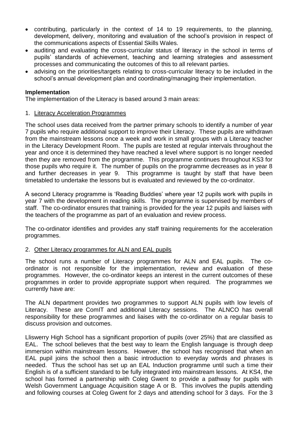- contributing, particularly in the context of 14 to 19 requirements, to the planning, development, delivery, monitoring and evaluation of the school's provision in respect of the communications aspects of Essential Skills Wales.
- auditing and evaluating the cross-curricular status of literacy in the school in terms of pupils' standards of achievement, teaching and learning strategies and assessment processes and communicating the outcomes of this to all relevant parties.
- advising on the priorities/targets relating to cross-curricular literacy to be included in the school's annual development plan and coordinating/managing their implementation.

## **Implementation**

The implementation of the Literacy is based around 3 main areas:

#### 1. Literacy Acceleration Programmes

The school uses data received from the partner primary schools to identify a number of year 7 pupils who require additional support to improve their Literacy. These pupils are withdrawn from the mainstream lessons once a week and work in small groups with a Literacy teacher in the Literacy Development Room. The pupils are tested at regular intervals throughout the year and once it is determined they have reached a level where support is no longer needed then they are removed from the programme. This programme continues throughout KS3 for those pupils who require it. The number of pupils on the programme decreases as in year 8 and further decreases in year 9. This programme is taught by staff that have been timetabled to undertake the lessons but is evaluated and reviewed by the co-ordinator.

A second Literacy programme is 'Reading Buddies' where year 12 pupils work with pupils in year 7 with the development in reading skills. The programme is supervised by members of staff. The co-ordinator ensures that training is provided for the year 12 pupils and liaises with the teachers of the programme as part of an evaluation and review process.

The co-ordinator identifies and provides any staff training requirements for the acceleration programmes.

## 2. Other Literacy programmes for ALN and EAL pupils

The school runs a number of Literacy programmes for ALN and EAL pupils. The coordinator is not responsible for the implementation, review and evaluation of these programmes. However, the co-ordinator keeps an interest in the current outcomes of these programmes in order to provide appropriate support when required. The programmes we currently have are:

The ALN department provides two programmes to support ALN pupils with low levels of Literacy. These are ComIT and additional Literacy sessions. The ALNCO has overall responsibility for these programmes and liaises with the co-ordinator on a regular basis to discuss provision and outcomes.

Lliswerry High School has a significant proportion of pupils (over 25%) that are classified as EAL. The school believes that the best way to learn the English language is through deep immersion within mainstream lessons. However, the school has recognised that when an EAL pupil joins the school then a basic introduction to everyday words and phrases is needed. Thus the school has set up an EAL Induction programme until such a time their English is of a sufficient standard to be fully integrated into mainstream lessons. At KS4, the school has formed a partnership with Coleg Gwent to provide a pathway for pupils with Welsh Government Language Acquisition stage A or B. This involves the pupils attending and following courses at Coleg Gwent for 2 days and attending school for 3 days. For the 3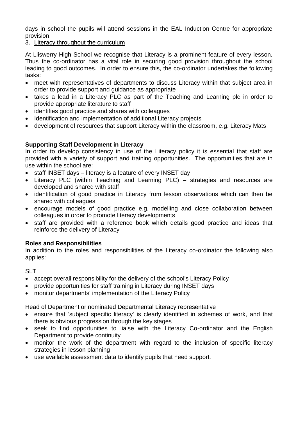days in school the pupils will attend sessions in the EAL Induction Centre for appropriate provision.

## 3. Literacy throughout the curriculum

At Lliswerry High School we recognise that Literacy is a prominent feature of every lesson. Thus the co-ordinator has a vital role in securing good provision throughout the school leading to good outcomes. In order to ensure this, the co-ordinator undertakes the following tasks:

- meet with representatives of departments to discuss Literacy within that subject area in order to provide support and guidance as appropriate
- takes a lead in a Literacy PLC as part of the Teaching and Learning plc in order to provide appropriate literature to staff
- identifies good practice and shares with colleagues
- Identification and implementation of additional Literacy projects
- development of resources that support Literacy within the classroom, e.g. Literacy Mats

## **Supporting Staff Development in Literacy**

In order to develop consistency in use of the Literacy policy it is essential that staff are provided with a variety of support and training opportunities. The opportunities that are in use within the school are:

- staff INSET days literacy is a feature of every INSET day
- Literacy PLC (within Teaching and Learning PLC) strategies and resources are developed and shared with staff
- identification of good practice in Literacy from lesson observations which can then be shared with colleagues
- encourage models of good practice e.g. modelling and close collaboration between colleagues in order to promote literacy developments
- staff are provided with a reference book which details good practice and ideas that reinforce the delivery of Literacy

## **Roles and Responsibilities**

In addition to the roles and responsibilities of the Literacy co-ordinator the following also applies:

## SLT

- accept overall responsibility for the delivery of the school's Literacy Policy
- provide opportunities for staff training in Literacy during INSET days
- monitor departments' implementation of the Literacy Policy

Head of Department or nominated Departmental Literacy representative

- ensure that 'subject specific literacy' is clearly identified in schemes of work, and that there is obvious progression through the key stages
- seek to find opportunities to liaise with the Literacy Co-ordinator and the English Department to provide continuity
- monitor the work of the department with regard to the inclusion of specific literacy strategies in lesson planning
- use available assessment data to identify pupils that need support.